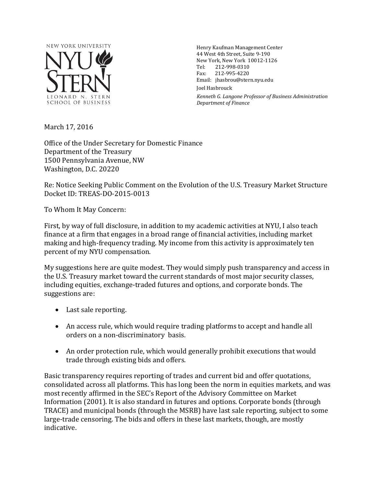

Henry Kaufman Management Center 44 West 4th Street, Suite 9-190 New York, New York 10012-1126<br>Tel: 212-998-0310 Tel: 212-998-0310<br>Fax: 212-995-4220 Fax: 212-995-4220 Email: jhasbrou@stern.nyu.edu Joel Hasbrouck *Kenneth G. Langone Professor of Business Administration Department of Finance*

March 17, 2016

Office of the Under Secretary for Domestic Finance Department of the Treasury 1500 Pennsylvania Avenue, NW Washington, D.C. 20220

Re: Notice Seeking Public Comment on the Evolution of the U.S. Treasury Market Structure Docket ID: TREAS-DO-2015-0013

To Whom It May Concern:

First, by way of full disclosure, in addition to my academic activities at NYU, I also teach finance at a firm that engages in a broad range of financial activities, including market making and high-frequency trading. My income from this activity is approximately ten percent of my NYU compensation.

My suggestions here are quite modest. They would simply push transparency and access in the U.S. Treasury market toward the current standards of most major security classes, including equities, exchange-traded futures and options, and corporate bonds. The suggestions are:

- Last sale reporting.
- An access rule, which would require trading platforms to accept and handle all orders on a non-discriminatory basis.
- An order protection rule, which would generally prohibit executions that would trade through existing bids and offers.

Basic transparency requires reporting of trades and current bid and offer quotations, consolidated across all platforms. This has long been the norm in equities markets, and was most recently affirmed in the SEC's Report of the Advisory Committee on Market Information (2001). It is also standard in futures and options. Corporate bonds (through TRACE) and municipal bonds (through the MSRB) have last sale reporting, subject to some large-trade censoring. The bids and offers in these last markets, though, are mostly indicative.